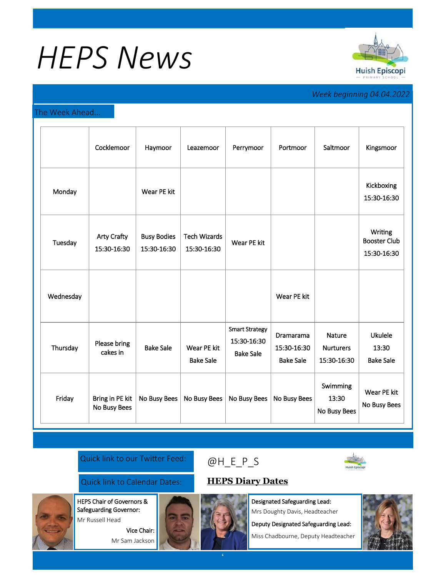# *HEPS News*



# *Week beginning 04.04.2022*

### The Week Ahead...

|           | Cocklemoor                        | Haymoor                           | Leazemoor                          | Perrymoor                                                | Portmoor                                     | Saltmoor                                  | Kingsmoor                                     |
|-----------|-----------------------------------|-----------------------------------|------------------------------------|----------------------------------------------------------|----------------------------------------------|-------------------------------------------|-----------------------------------------------|
| Monday    |                                   | Wear PE kit                       |                                    |                                                          |                                              |                                           | Kickboxing<br>15:30-16:30                     |
| Tuesday   | <b>Arty Crafty</b><br>15:30-16:30 | <b>Busy Bodies</b><br>15:30-16:30 | <b>Tech Wizards</b><br>15:30-16:30 | Wear PE kit                                              |                                              |                                           | Writing<br><b>Booster Club</b><br>15:30-16:30 |
| Wednesday |                                   |                                   |                                    |                                                          | Wear PE kit                                  |                                           |                                               |
| Thursday  | Please bring<br>cakes in          | <b>Bake Sale</b>                  | Wear PE kit<br><b>Bake Sale</b>    | <b>Smart Strategy</b><br>15:30-16:30<br><b>Bake Sale</b> | Dramarama<br>15:30-16:30<br><b>Bake Sale</b> | Nature<br><b>Nurturers</b><br>15:30-16:30 | <b>Ukulele</b><br>13:30<br><b>Bake Sale</b>   |
| Friday    | Bring in PE kit<br>No Busy Bees   | No Busy Bees                      | No Busy Bees                       | No Busy Bees                                             | No Busy Bees                                 | Swimming<br>13:30<br>No Busy Bees         | Wear PE kit<br>No Busy Bees                   |

### Quick link to our Twitter Feed:

## Quick link to Calendar Dates: **[HEPS Diary Dates](https://huishepiscopiprimary.co.uk/diary-dates/)**

HEPS Chair of Governors & Safeguarding Governor:

Mr Russell Head

Vice Chair: Mr Sam Jackson



Designated Safeguarding Lead: Mrs Doughty Davis, Headteacher

Deputy Designated Safeguarding Lead: Miss Chadbourne, Deputy Headteacher